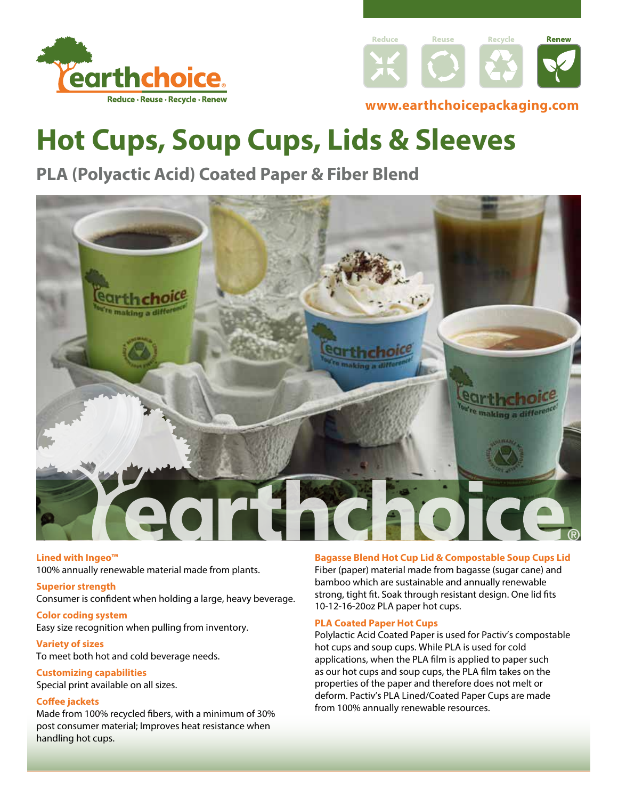



### **<www.earthchoicepackaging.com>**

# **Hot Cups, Soup Cups, Lids & Sleeves**

### **PLA (Polyactic Acid) Coated Paper & Fiber Blend**



#### **Lined with Ingeo™**

100% annually renewable material made from plants.

#### **Superior strength**

Consumer is confdent when holding a large, heavy beverage.

**Color coding system**  Easy size recognition when pulling from inventory.

#### **Variety of sizes**

To meet both hot and cold beverage needs.

#### **Customizing capabilities**

Special print available on all sizes.

#### **Cofee jackets**

Made from 100% recycled fbers, with a minimum of 30% post consumer material; Improves heat resistance when handling hot cups.

#### **Bagasse Blend Hot Cup Lid & Compostable Soup Cups Lid**

Fiber (paper) material made from bagasse (sugar cane) and bamboo which are sustainable and annually renewable strong, tight ft. Soak through resistant design. One lid fts 10-12-16-20oz PLA paper hot cups.

#### **PLA Coated Paper Hot Cups**

Polylactic Acid Coated Paper is used for Pactiv's compostable hot cups and soup cups. While PLA is used for cold applications, when the PLA flm is applied to paper such as our hot cups and soup cups, the PLA flm takes on the properties of the paper and therefore does not melt or deform. Pactiv's PLA Lined/Coated Paper Cups are made from 100% annually renewable resources.